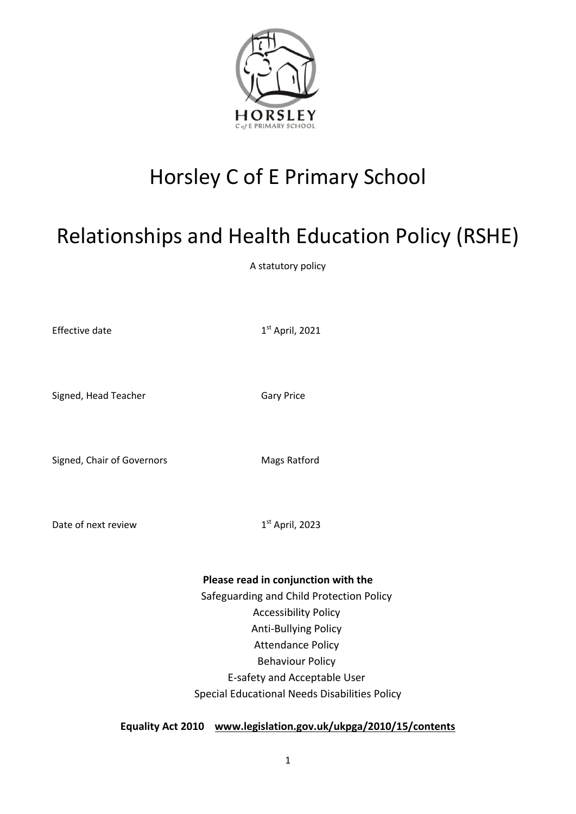

# Horsley C of E Primary School

# Relationships and Health Education Policy (RSHE)

A statutory policy

Effective date 1

 $1<sup>st</sup>$  April, 2021

Signed, Head Teacher Gary Price

Signed, Chair of Governors Mags Ratford

Date of next review 1

 $1<sup>st</sup>$  April, 2023

**Please read in conjunction with the**

Safeguarding and Child Protection Policy Accessibility Policy Anti-Bullying Policy Attendance Policy Behaviour Policy E-safety and Acceptable User Special Educational Needs Disabilities Policy

**Equality Act 2010 [www.legislation.gov.uk/ukpga/2010/15/contents](http://www.legislation.gov.uk/ukpga/2010/15/contents)**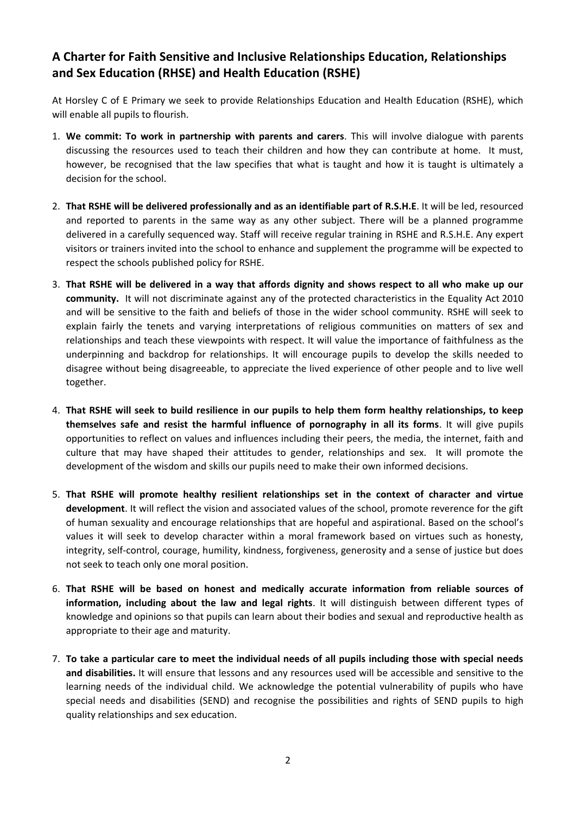# **A Charter for Faith Sensitive and Inclusive Relationships Education, Relationships and Sex Education (RHSE) and Health Education (RSHE)**

At Horsley C of E Primary we seek to provide Relationships Education and Health Education (RSHE), which will enable all pupils to flourish.

- 1. **We commit: To work in partnership with parents and carers**. This will involve dialogue with parents discussing the resources used to teach their children and how they can contribute at home. It must, however, be recognised that the law specifies that what is taught and how it is taught is ultimately a decision for the school.
- 2. **That RSHE will be delivered professionally and as an identifiable part of R.S.H.E**. It will be led, resourced and reported to parents in the same way as any other subject. There will be a planned programme delivered in a carefully sequenced way. Staff will receive regular training in RSHE and R.S.H.E. Any expert visitors or trainers invited into the school to enhance and supplement the programme will be expected to respect the schools published policy for RSHE.
- 3. **That RSHE will be delivered in a way that affords dignity and shows respect to all who make up our community.** It will not discriminate against any of the protected characteristics in the Equality Act 2010 and will be sensitive to the faith and beliefs of those in the wider school community. RSHE will seek to explain fairly the tenets and varying interpretations of religious communities on matters of sex and relationships and teach these viewpoints with respect. It will value the importance of faithfulness as the underpinning and backdrop for relationships. It will encourage pupils to develop the skills needed to disagree without being disagreeable, to appreciate the lived experience of other people and to live well together.
- 4. **That RSHE will seek to build resilience in our pupils to help them form healthy relationships, to keep themselves safe and resist the harmful influence of pornography in all its forms**. It will give pupils opportunities to reflect on values and influences including their peers, the media, the internet, faith and culture that may have shaped their attitudes to gender, relationships and sex. It will promote the development of the wisdom and skills our pupils need to make their own informed decisions.
- 5. **That RSHE will promote healthy resilient relationships set in the context of character and virtue development**. It will reflect the vision and associated values of the school, promote reverence for the gift of human sexuality and encourage relationships that are hopeful and aspirational. Based on the school's values it will seek to develop character within a moral framework based on virtues such as honesty, integrity, self-control, courage, humility, kindness, forgiveness, generosity and a sense of justice but does not seek to teach only one moral position.
- 6. **That RSHE will be based on honest and medically accurate information from reliable sources of information, including about the law and legal rights**. It will distinguish between different types of knowledge and opinions so that pupils can learn about their bodies and sexual and reproductive health as appropriate to their age and maturity.
- 7. **To take a particular care to meet the individual needs of all pupils including those with special needs and disabilities.** It will ensure that lessons and any resources used will be accessible and sensitive to the learning needs of the individual child. We acknowledge the potential vulnerability of pupils who have special needs and disabilities (SEND) and recognise the possibilities and rights of SEND pupils to high quality relationships and sex education.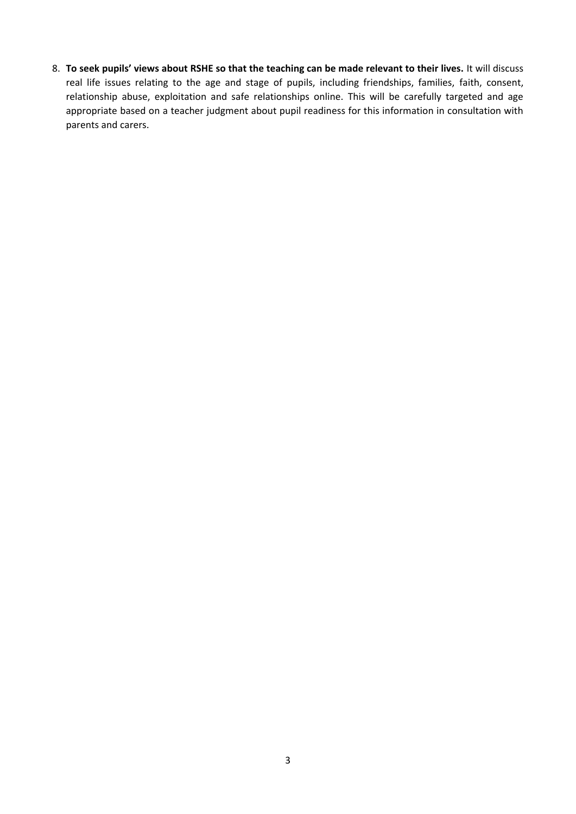8. **To seek pupils' views about RSHE so that the teaching can be made relevant to their lives.** It will discuss real life issues relating to the age and stage of pupils, including friendships, families, faith, consent, relationship abuse, exploitation and safe relationships online. This will be carefully targeted and age appropriate based on a teacher judgment about pupil readiness for this information in consultation with parents and carers.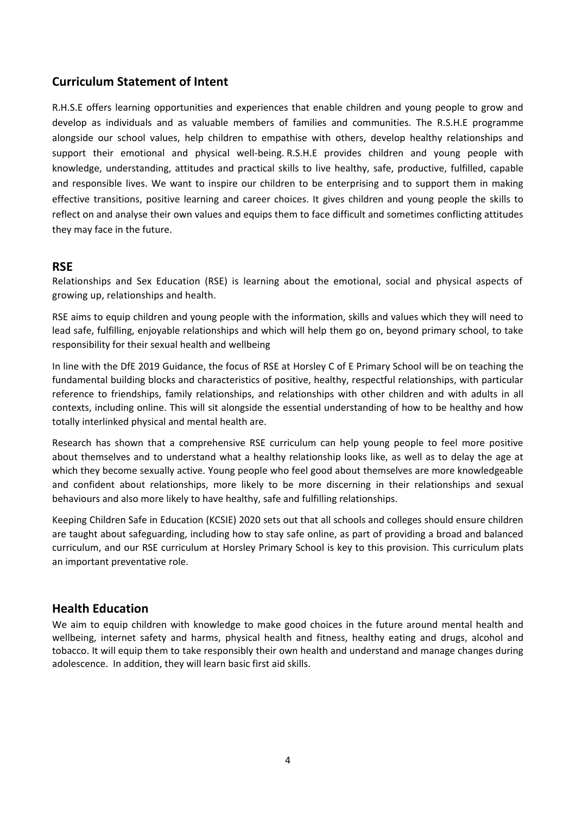## **Curriculum Statement of Intent**

R.H.S.E offers learning opportunities and experiences that enable children and young people to grow and develop as individuals and as valuable members of families and communities. The R.S.H.E programme alongside our school values, help children to empathise with others, develop healthy relationships and support their emotional and physical well-being. R.S.H.E provides children and young people with knowledge, understanding, attitudes and practical skills to live healthy, safe, productive, fulfilled, capable and responsible lives. We want to inspire our children to be enterprising and to support them in making effective transitions, positive learning and career choices. It gives children and young people the skills to reflect on and analyse their own values and equips them to face difficult and sometimes conflicting attitudes they may face in the future.

## **RSE**

Relationships and Sex Education (RSE) is learning about the emotional, social and physical aspects of growing up, relationships and health.

RSE aims to equip children and young people with the information, skills and values which they will need to lead safe, fulfilling, enjoyable relationships and which will help them go on, beyond primary school, to take responsibility for their sexual health and wellbeing

In line with the DfE 2019 Guidance, the focus of RSE at Horsley C of E Primary School will be on teaching the fundamental building blocks and characteristics of positive, healthy, respectful relationships, with particular reference to friendships, family relationships, and relationships with other children and with adults in all contexts, including online. This will sit alongside the essential understanding of how to be healthy and how totally interlinked physical and mental health are.

Research has shown that a comprehensive RSE curriculum can help young people to feel more positive about themselves and to understand what a healthy relationship looks like, as well as to delay the age at which they become sexually active. Young people who feel good about themselves are more knowledgeable and confident about relationships, more likely to be more discerning in their relationships and sexual behaviours and also more likely to have healthy, safe and fulfilling relationships.

Keeping Children Safe in Education (KCSIE) 2020 sets out that all schools and colleges should ensure children are taught about safeguarding, including how to stay safe online, as part of providing a broad and balanced curriculum, and our RSE curriculum at Horsley Primary School is key to this provision. This curriculum plats an important preventative role.

## **Health Education**

We aim to equip children with knowledge to make good choices in the future around mental health and wellbeing, internet safety and harms, physical health and fitness, healthy eating and drugs, alcohol and tobacco. It will equip them to take responsibly their own health and understand and manage changes during adolescence. In addition, they will learn basic first aid skills.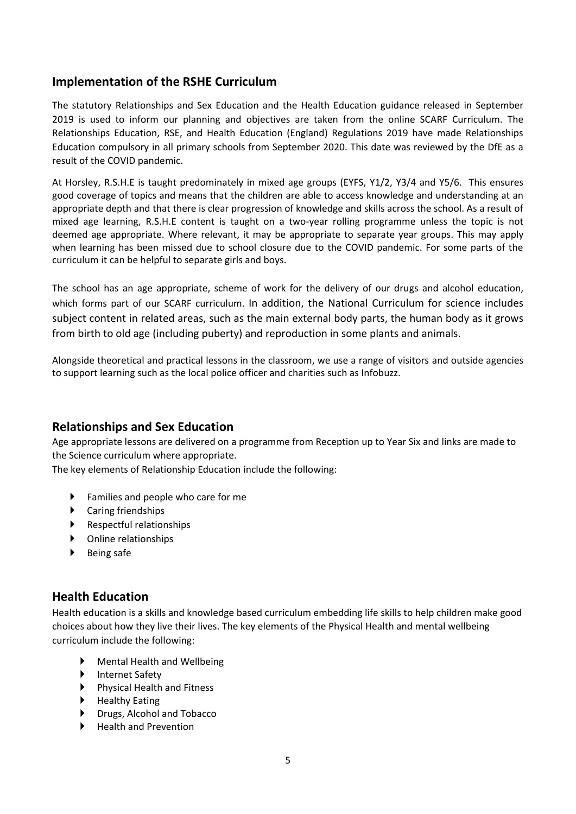## **Implementation of the RSHE Curriculum**

The statutory Relationships and Sex Education and the Health Education guidance released in September 2019 is used to inform our planning and objectives are taken from the online SCARF Curriculum. The Relationships Education, RSE, and Health Education (England) Regulations 2019 have made Relationships Education compulsory in all primary schools from September 2020. This date was reviewed by the DfE as a result of the COVID pandemic.

At Horsley, R.S.H.E is taught predominately in mixed age groups (EYFS, Y1/2, Y3/4 and Y5/6. This ensures good coverage of topics and means that the children are able to access knowledge and understanding at an appropriate depth and that there is clear progression of knowledge and skills across the school. As a result of mixed age learning, R.S.H.E content is taught on a two-year rolling programme unless the topic is not deemed age appropriate. Where relevant, it may be appropriate to separate year groups. This may apply when learning has been missed due to school closure due to the COVID pandemic. For some parts of the curriculum it can be helpful to separate girls and boys.

The school has an age appropriate, scheme of work for the delivery of our drugs and alcohol education, which forms part of our SCARF curriculum. In addition, the National Curriculum for science includes subject content in related areas, such as the main external body parts, the human body as it grows from birth to old age (including puberty) and reproduction in some plants and animals.

Alongside theoretical and practical lessons in the classroom, we use a range of visitors and outside agencies to support learning such as the local police officer and charities such as Infobuzz.

## **Relationships and Sex Education**

Age appropriate lessons are delivered on a programme from Reception up to Year Six and links are made to the Science curriculum where appropriate.

The key elements of Relationship Education include the following:

- Families and people who care for me
- Caring friendships
- $\blacktriangleright$  Respectful relationships
- Online relationships
- ▶ Being safe

## **Health Education**

Health education is a skills and knowledge based curriculum embedding life skills to help children make good choices about how they live their lives. The key elements of the Physical Health and mental wellbeing curriculum include the following:

- Mental Health and Wellbeing
- ▶ Internet Safety
- ▶ Physical Health and Fitness
- ▶ Healthy Eating
- Drugs, Alcohol and Tobacco
- Health and Prevention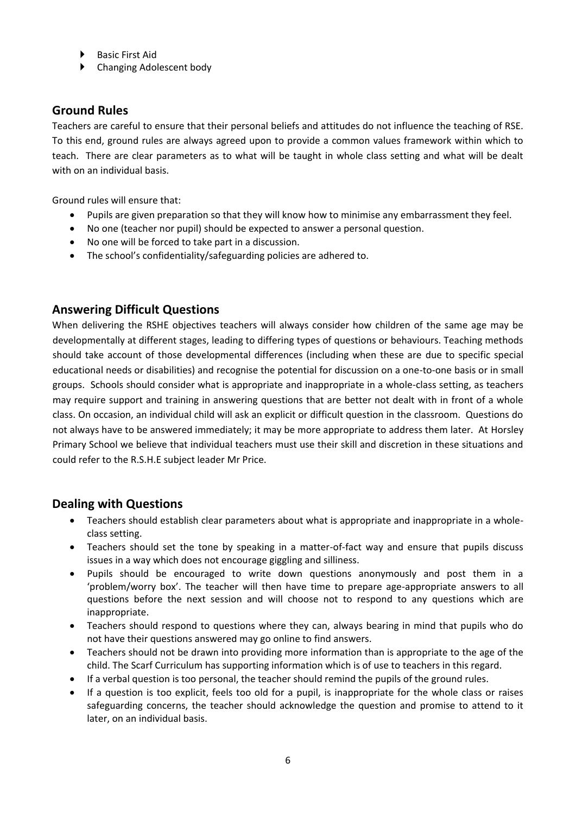- Basic First Aid
- Changing Adolescent body

# **Ground Rules**

Teachers are careful to ensure that their personal beliefs and attitudes do not influence the teaching of RSE. To this end, ground rules are always agreed upon to provide a common values framework within which to teach. There are clear parameters as to what will be taught in whole class setting and what will be dealt with on an individual basis.

Ground rules will ensure that:

- Pupils are given preparation so that they will know how to minimise any embarrassment they feel.
- No one (teacher nor pupil) should be expected to answer a personal question.
- No one will be forced to take part in a discussion.
- The school's confidentiality/safeguarding policies are adhered to.

## **Answering Difficult Questions**

When delivering the RSHE objectives teachers will always consider how children of the same age may be developmentally at different stages, leading to differing types of questions or behaviours. Teaching methods should take account of those developmental differences (including when these are due to specific special educational needs or disabilities) and recognise the potential for discussion on a one-to-one basis or in small groups. Schools should consider what is appropriate and inappropriate in a whole-class setting, as teachers may require support and training in answering questions that are better not dealt with in front of a whole class. On occasion, an individual child will ask an explicit or difficult question in the classroom. Questions do not always have to be answered immediately; it may be more appropriate to address them later. At Horsley Primary School we believe that individual teachers must use their skill and discretion in these situations and could refer to the R.S.H.E subject leader Mr Price.

## **Dealing with Questions**

- Teachers should establish clear parameters about what is appropriate and inappropriate in a wholeclass setting.
- Teachers should set the tone by speaking in a matter-of-fact way and ensure that pupils discuss issues in a way which does not encourage giggling and silliness.
- Pupils should be encouraged to write down questions anonymously and post them in a 'problem/worry box'. The teacher will then have time to prepare age-appropriate answers to all questions before the next session and will choose not to respond to any questions which are inappropriate.
- Teachers should respond to questions where they can, always bearing in mind that pupils who do not have their questions answered may go online to find answers.
- Teachers should not be drawn into providing more information than is appropriate to the age of the child. The Scarf Curriculum has supporting information which is of use to teachers in this regard.
- If a verbal question is too personal, the teacher should remind the pupils of the ground rules.
- If a question is too explicit, feels too old for a pupil, is inappropriate for the whole class or raises safeguarding concerns, the teacher should acknowledge the question and promise to attend to it later, on an individual basis.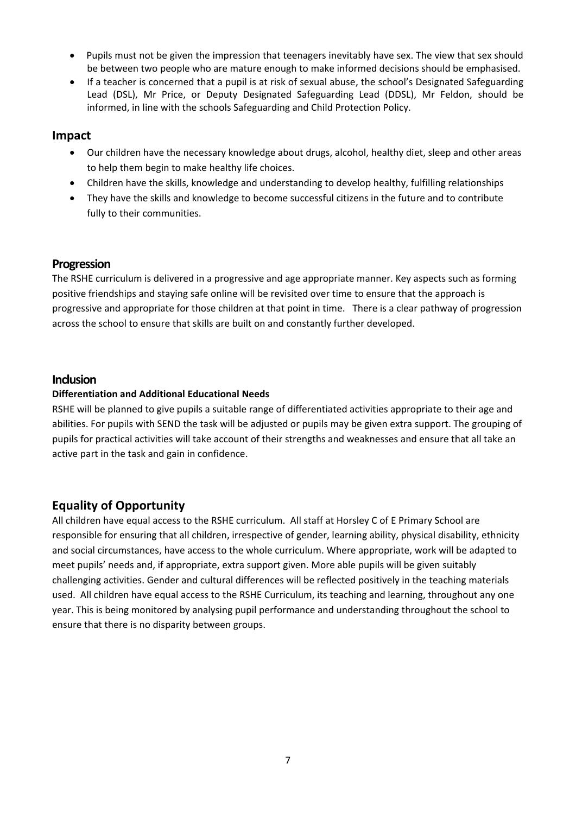- Pupils must not be given the impression that teenagers inevitably have sex. The view that sex should be between two people who are mature enough to make informed decisions should be emphasised.
- If a teacher is concerned that a pupil is at risk of sexual abuse, the school's Designated Safeguarding Lead (DSL), Mr Price, or Deputy Designated Safeguarding Lead (DDSL), Mr Feldon, should be informed, in line with the schools Safeguarding and Child Protection Policy.

#### **Impact**

- Our children have the necessary knowledge about drugs, alcohol, healthy diet, sleep and other areas to help them begin to make healthy life choices.
- Children have the skills, knowledge and understanding to develop healthy, fulfilling relationships
- They have the skills and knowledge to become successful citizens in the future and to contribute fully to their communities.

#### **Progression**

The RSHE curriculum is delivered in a progressive and age appropriate manner. Key aspects such as forming positive friendships and staying safe online will be revisited over time to ensure that the approach is progressive and appropriate for those children at that point in time. There is a clear pathway of progression across the school to ensure that skills are built on and constantly further developed.

#### **Inclusion**

#### **Differentiation and Additional Educational Needs**

RSHE will be planned to give pupils a suitable range of differentiated activities appropriate to their age and abilities. For pupils with SEND the task will be adjusted or pupils may be given extra support. The grouping of pupils for practical activities will take account of their strengths and weaknesses and ensure that all take an active part in the task and gain in confidence.

# **Equality of Opportunity**

All children have equal access to the RSHE curriculum. All staff at Horsley C of E Primary School are responsible for ensuring that all children, irrespective of gender, learning ability, physical disability, ethnicity and social circumstances, have access to the whole curriculum. Where appropriate, work will be adapted to meet pupils' needs and, if appropriate, extra support given. More able pupils will be given suitably challenging activities. Gender and cultural differences will be reflected positively in the teaching materials used. All children have equal access to the RSHE Curriculum, its teaching and learning, throughout any one year. This is being monitored by analysing pupil performance and understanding throughout the school to ensure that there is no disparity between groups.